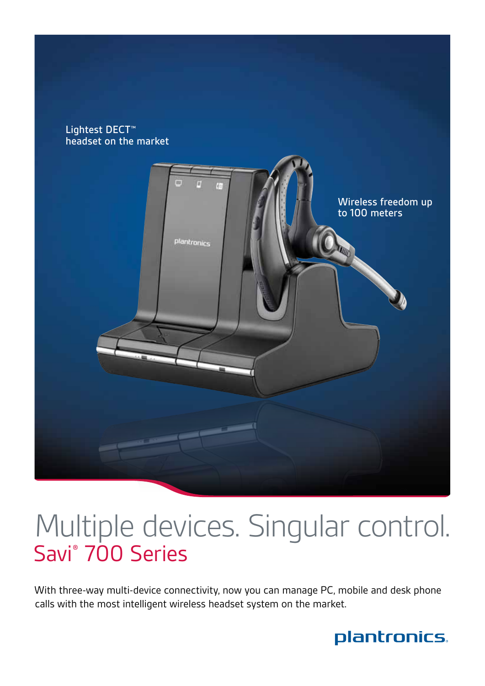



# Multiple devices. Singular control. Savi® 700 Series

With three-way multi-device connectivity, now you can manage PC, mobile and desk phone calls with the most intelligent wireless headset system on the market.